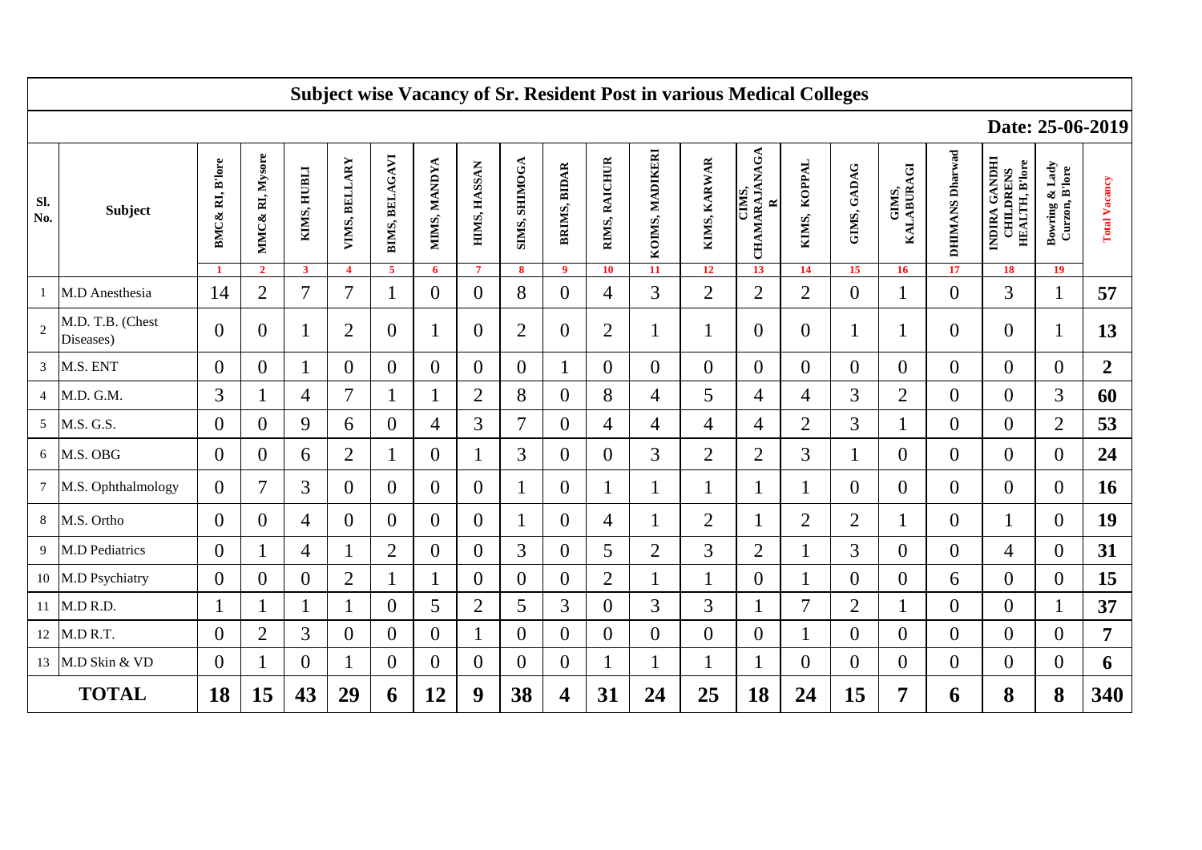|              | <b>Subject wise Vacancy of Sr. Resident Post in various Medical Colleges</b> |                  |                                   |                                        |                                   |                                  |                   |                                |                           |                                |                     |                       |                    |                                           |                    |                   |                                  |                       |                                                                  |                                                           |                      |
|--------------|------------------------------------------------------------------------------|------------------|-----------------------------------|----------------------------------------|-----------------------------------|----------------------------------|-------------------|--------------------------------|---------------------------|--------------------------------|---------------------|-----------------------|--------------------|-------------------------------------------|--------------------|-------------------|----------------------------------|-----------------------|------------------------------------------------------------------|-----------------------------------------------------------|----------------------|
|              |                                                                              |                  |                                   |                                        |                                   |                                  |                   |                                |                           |                                |                     |                       |                    | Date: 25-06-2019                          |                    |                   |                                  |                       |                                                                  |                                                           |                      |
| Sl.<br>No.   | Subject                                                                      | BMC& RI, B'lore  | MMC& RI, Mysore<br>$\overline{2}$ | KIMS, HUBLI<br>$\overline{\mathbf{3}}$ | VIMS, BELLARY<br>$\boldsymbol{4}$ | BIMS, BELAGAVI<br>$\overline{5}$ | MIMS, MANDYA<br>6 | HIMS, HASSAN<br>$\overline{7}$ | SIMS, SHIMOGA<br>$\bf{8}$ | BRIMS, BIDAR<br>$\overline{9}$ | RIMS, RAICHUR<br>10 | KOIMS, MADIKERI<br>11 | KIMS, KARWAR<br>12 | CHAMARAJANAGA<br>CIMS,<br>$\approx$<br>13 | KIMS, KOPPAL<br>14 | GIMS, GADAG<br>15 | GIMS,<br>KALABURAGI<br><b>16</b> | DHIMANS Dharwad<br>17 | INDIRA GANDHI<br><b>HEALTH, B'lore</b><br><b>CHILDRENS</b><br>18 | Lady<br><b>Bowring &amp; Lady</b><br>Curzon, B'lore<br>19 | <b>Total Vacancy</b> |
|              | M.D Anesthesia                                                               | 14               | $\overline{2}$                    | 7                                      | $\overline{7}$                    |                                  | $\overline{0}$    | $\mathbf{0}$                   | 8                         | $\overline{0}$                 | 4                   | 3                     | $\overline{2}$     | $\overline{2}$                            | $\overline{2}$     | $\boldsymbol{0}$  |                                  | $\overline{0}$        | 3                                                                |                                                           | 57                   |
| 2            | M.D. T.B. (Chest<br>Diseases)                                                | $\overline{0}$   | $\overline{0}$                    |                                        | $\overline{2}$                    | $\overline{0}$                   | $\mathbf{1}$      | $\mathbf{0}$                   | $\overline{2}$            | $\overline{0}$                 | $\overline{2}$      | 1                     | 1                  | $\overline{0}$                            | $\boldsymbol{0}$   |                   |                                  | $\overline{0}$        | $\overline{0}$                                                   | 1                                                         | 13                   |
|              | 3 M.S. ENT                                                                   | $\boldsymbol{0}$ | 0                                 |                                        | $\overline{0}$                    | $\overline{0}$                   | $\theta$          | $\boldsymbol{0}$               | $\theta$                  |                                | 0                   | $\boldsymbol{0}$      | $\mathbf{0}$       | $\overline{0}$                            | $\boldsymbol{0}$   | $\overline{0}$    | $\overline{0}$                   | $\boldsymbol{0}$      | $\overline{0}$                                                   | $\overline{0}$                                            | $\boldsymbol{2}$     |
|              | 4 M.D. G.M.                                                                  | 3                |                                   | 4                                      | $\overline{7}$                    | 1                                |                   | $\overline{2}$                 | 8                         | $\overline{0}$                 | 8                   | $\overline{4}$        | 5                  | 4                                         | 4                  | 3                 | $\overline{2}$                   | $\overline{0}$        | $\overline{0}$                                                   | 3                                                         | 60                   |
|              | 5 M.S. G.S.                                                                  | $\overline{0}$   | $\overline{0}$                    | 9                                      | 6                                 | $\overline{0}$                   | 4                 | 3                              | $\overline{7}$            | $\overline{0}$                 | 4                   | $\overline{4}$        | 4                  | 4                                         | $\overline{2}$     | 3                 |                                  | $\overline{0}$        | $\overline{0}$                                                   | $\overline{2}$                                            | 53                   |
| 6            | M.S. OBG                                                                     | $\theta$         | $\theta$                          | 6                                      | $\overline{2}$                    | $\mathbf 1$                      | $\overline{0}$    | 1                              | 3                         | $\overline{0}$                 | 0                   | 3                     | $\overline{2}$     | $\overline{2}$                            | 3                  |                   | $\overline{0}$                   | $\overline{0}$        | $\overline{0}$                                                   | $\overline{0}$                                            | 24                   |
|              | 7 M.S. Ophthalmology                                                         | $\overline{0}$   | 7                                 | 3                                      | $\theta$                          | $\overline{0}$                   | $\theta$          | $\mathbf{0}$                   |                           | $\overline{0}$                 |                     | 1                     | 1                  |                                           | 1                  | $\theta$          | $\overline{0}$                   | $\overline{0}$        | $\overline{0}$                                                   | $\overline{0}$                                            | 16                   |
|              | 8 M.S. Ortho                                                                 | $\overline{0}$   | $\theta$                          | $\overline{4}$                         | $\theta$                          | $\overline{0}$                   | $\boldsymbol{0}$  | $\mathbf{0}$                   |                           | $\overline{0}$                 | 4                   | 1                     | $\overline{2}$     |                                           | $\mathfrak{2}$     | $\overline{2}$    |                                  | $\overline{0}$        | 1                                                                | $\overline{0}$                                            | 19                   |
|              | 9 M.D Pediatrics                                                             | $\theta$         |                                   | 4                                      | -1                                | $\overline{2}$                   | $\theta$          | $\overline{0}$                 | 3                         | $\overline{0}$                 | 5                   | $\overline{2}$        | 3                  | $\overline{2}$                            | 1                  | 3                 | $\overline{0}$                   | $\overline{0}$        | 4                                                                | $\overline{0}$                                            | 31                   |
|              | 10 M.D Psychiatry                                                            | $\overline{0}$   | $\theta$                          | $\theta$                               | $\overline{2}$                    | 1                                |                   | $\overline{0}$                 | $\overline{0}$            | $\overline{0}$                 | $\overline{2}$      | $\mathbf{1}$          |                    | $\overline{0}$                            | 1                  | $\overline{0}$    | $\theta$                         | 6                     | $\overline{0}$                                                   | $\overline{0}$                                            | 15                   |
|              | 11 M.D R.D.                                                                  |                  |                                   |                                        |                                   | $\theta$                         | 5                 | $\overline{2}$                 | 5                         | 3                              | $\boldsymbol{0}$    | 3                     | 3                  |                                           | $\overline{7}$     | $\overline{2}$    |                                  | $\boldsymbol{0}$      | $\overline{0}$                                                   |                                                           | 37                   |
|              | 12 M.D R.T.                                                                  | $\Omega$         | $\overline{2}$                    | 3                                      | $\theta$                          | $\overline{0}$                   | $\overline{0}$    | $\mathbf{1}$                   | $\Omega$                  | $\Omega$                       | $\theta$            | $\overline{0}$        | $\theta$           | $\overline{0}$                            | 1                  | $\theta$          | $\theta$                         | $\overline{0}$        | $\Omega$                                                         | $\Omega$                                                  | 7                    |
|              | 13 M.D Skin & VD                                                             | $\overline{0}$   |                                   | $\theta$                               |                                   | $\overline{0}$                   | $\overline{0}$    | $\mathbf{0}$                   | $\overline{0}$            | $\overline{0}$                 |                     |                       |                    |                                           | $\overline{0}$     | $\overline{0}$    | $\overline{0}$                   | $\overline{0}$        | $\overline{0}$                                                   | $\overline{0}$                                            | 6                    |
| <b>TOTAL</b> |                                                                              | 18               | 15                                | 43                                     | 29                                | 6                                | 12                | 9                              | 38                        | 4                              | 31                  | 24                    | 25                 | 18                                        | 24                 | 15                | 7                                | 6                     | 8                                                                | 8                                                         | 340                  |